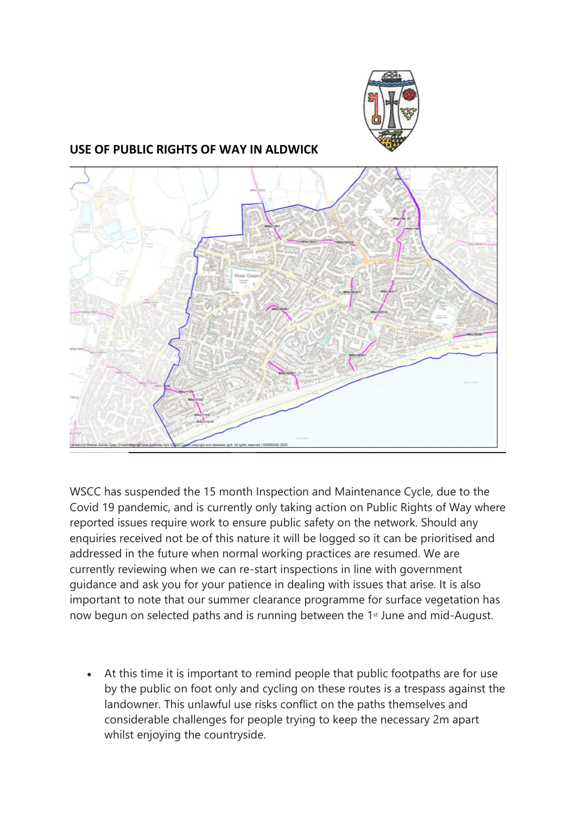

## **USE OF PUBLIC RIGHTS OF WAY IN ALDWICK**



WSCC has suspended the 15 month Inspection and Maintenance Cycle, due to the Covid 19 pandemic, and is currently only taking action on Public Rights of Way where reported issues require work to ensure public safety on the network. Should any enquiries received not be of this nature it will be logged so it can be prioritised and addressed in the future when normal working practices are resumed. We are currently reviewing when we can re-start inspections in line with government guidance and ask you for your patience in dealing with issues that arise. It is also important to note that our summer clearance programme for surface vegetation has now begun on selected paths and is running between the 1<sup>st</sup> June and mid-August.

At this time it is important to remind people that public footpaths are for use by the public on foot only and cycling on these routes is a trespass against the landowner. This unlawful use risks conflict on the paths themselves and considerable challenges for people trying to keep the necessary 2m apart whilst enjoying the countryside.